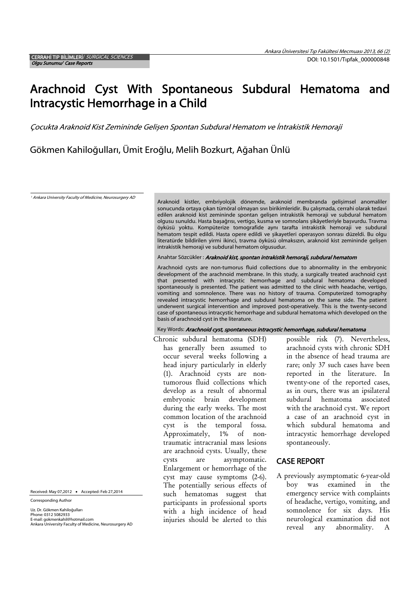# Arachnoid Cyst With Spontaneous Subdural Hematoma and Intracystic Hemorrhage in a Child

Çocukta Araknoid Kist Zemininde Gelișen Spontan Subdural Hematom ve İntrakistik Hemoraji

Gökmen Kahiloğulları, Ümit Eroğlu, Melih Bozkurt, Ağahan Ünlü

<sup>1</sup> Ankara University Faculty of Medicine, Neurosurgery AD

Araknoid kistler, embriyolojik dönemde, araknoid membranda gelișimsel anomaliler sonucunda ortaya çıkan tümöral olmayan sıvı birikimleridir. Bu çalıșmada, cerrahi olarak tedavi edilen araknoid kist zemininde spontan gelișen intrakistik hemoraji ve subdural hematom olgusu sunuldu. Hasta bașağrısı, vertigo, kusma ve somnolans șikâyetleriyle bașvurdu. Travma öyküsü yoktu. Kompüterize tomografide aynı tarafta intrakistik hemoraji ve subdural hematom tespit edildi. Hasta opere edildi ve șikayetleri operasyon sonrası düzeldi. Bu olgu literatürde bildirilen yirmi ikinci, travma öyküsü olmaksızın, araknoid kist zemininde gelișen intrakistik hemoraji ve subdural hematom olgusudur.

#### Anahtar Sözcükler : Araknoid kist, spontan intrakistik hemoraji, subdural hematom

Arachnoid cysts are non-tumorus fluid collections due to abnormality in the embryonic development of the arachnoid membrane. In this study, a surgically treated arachnoid cyst that presented with intracystic hemorrhage and subdural hematoma developed spontaneously is presented. The patient was admitted to the clinic with headache, vertigo, vomiting and somnolence. There was no history of trauma. Computerized tomography revealed intracystic hemorrhage and subdural hematoma on the same side. The patient underwent surgical intervention and improved post-operatively. This is the twenty-second case of spontaneous intracystic hemorrhage and subdural hematoma which developed on the basis of arachnoid cyst in the literature.

### Key Words: Arachnoid cyst, spontaneous intracystic hemorrhage, subdural hematoma

Chronic subdural hematoma (SDH) has generally been assumed to occur several weeks following a head injury particularly in elderly (1). Arachnoid cysts are nontumorous fluid collections which develop as a result of abnormal embryonic brain development during the early weeks. The most common location of the arachnoid cyst is the temporal fossa. Approximately, 1% of nontraumatic intracranial mass lesions are arachnoid cysts. Usually, these cysts are asymptomatic. Enlargement or hemorrhage of the cyst may cause symptoms (2-6). The potentially serious effects of such hematomas suggest that participants in professional sports with a high incidence of head injuries should be alerted to this

possible risk (7). Nevertheless, arachnoid cysts with chronic SDH in the absence of head trauma are rare; only 37 such cases have been reported in the literature. In twenty-one of the reported cases, as in ours, there was an ipsilateral subdural hematoma associated with the arachnoid cyst. We report a case of an arachnoid cyst in which subdural hematoma and intracystic hemorrhage developed spontaneously.

## CASE REPORT

A previously asymptomatic 6-year-old boy was examined in the emergency service with complaints of headache, vertigo, vomiting, and somnolence for six days. His neurological examination did not reveal any abnormality. A

Received: May 07,2012 . Accepted: Feb 27.2014

Corresponding Author

Uz. Dr. Gökmen Kahiloğulları Phone: 0312 5082933 E-mail: gokmenkahil@hotmail.com Ankara University Faculty of Medicine, Neurosurgery AD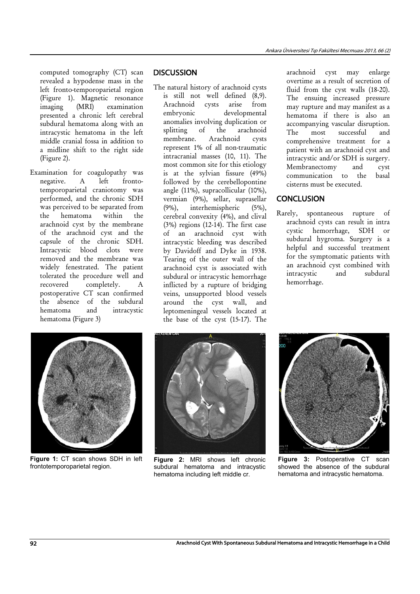computed tomography (CT) scan revealed a hypodense mass in the left fronto-temporoparietal region (Figure 1). Magnetic resonance<br>imaging (MRI) examination imaging (MRI) examination presented a chronic left cerebral subdural hematoma along with an intracystic hematoma in the left middle cranial fossa in addition to a midline shift to the right side (Figure 2).

Examination for coagulopathy was negative. A left frontotemporoparietal craniotomy was performed, and the chronic SDH was perceived to be separated from the hematoma within the arachnoid cyst by the membrane of the arachnoid cyst and the capsule of the chronic SDH. Intracystic blood clots were removed and the membrane was widely fenestrated. The patient tolerated the procedure well and recovered completely. A postoperative CT scan confirmed the absence of the subdural hematoma and intracystic hematoma (Figure 3)

# **DISCUSSION**

The natural history of arachnoid cysts is still not well defined (8,9). Arachnoid cysts arise from embryonic developmental anomalies involving duplication or splitting of the arachnoid membrane. Arachnoid cysts represent 1% of all non-traumatic intracranial masses (10, 11). The most common site for this etiology is at the sylvian fissure (49%) followed by the cerebellopontine angle (11%), supracollicular (10%), vermian (9%), sellar, suprasellar (9%), interhemispheric (5%), cerebral convexity (4%), and clival (3%) regions (12-14). The first case of an arachnoid cyst with intracystic bleeding was described by Davidoff and Dyke in 1938. Tearing of the outer wall of the arachnoid cyst is associated with subdural or intracystic hemorrhage inflicted by a rupture of bridging veins, unsupported blood vessels around the cyst wall, and leptomeningeal vessels located at the base of the cyst (15-17). The

arachnoid cyst may enlarge overtime as a result of secretion of fluid from the cyst walls (18-20). The ensuing increased pressure may rupture and may manifest as a hematoma if there is also an accompanying vascular disruption. The most successful and comprehensive treatment for a patient with an arachnoid cyst and intracystic and/or SDH is surgery. Membranectomy and cyst communication to the basal cisterns must be executed.

# CONCLUSION

Rarely, spontaneous rupture of arachnoid cysts can result in intra cystic hemorrhage, SDH or subdural hygroma. Surgery is a helpful and successful treatment for the symptomatic patients with an arachnoid cyst combined with intracystic and subdural hemorrhage.



**Figure 1:** CT scan shows SDH in left frontotemporoparietal region.



**Figure 2:** MRI shows left chronic subdural hematoma and intracystic hematoma including left middle cr.



**Figure 3:** Postoperative CT scan showed the absence of the subdural hematoma and intracystic hematoma.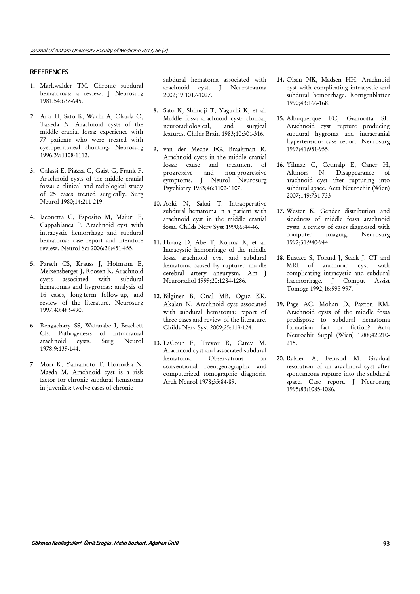## **REFERENCES**

- 1. Markwalder TM. Chronic subdural hematomas: a review. J Neurosurg 1981;54:637-645.
- 2. Arai H, Sato K, Wachi A, Okuda O, Takeda N. Arachnoid cysts of the middle cranial fossa: experience with 77 patients who were treated with cystoperitoneal shunting. Neurosurg 1996;39:1108-1112.
- 3. Galassi E, Piazza G, Gaist G, Frank F. Arachnoid cysts of the middle cranial fossa: a clinical and radiological study of 25 cases treated surgically. Surg Neurol 1980;14:211-219.
- 4. Iaconetta G, Esposito M, Maiuri F, Cappabianca P. Arachnoid cyst with intracystic hemorrhage and subdural hematoma: case report and literature review. Neurol Sci 2006;26:451-455.
- 5. Parsch CS, Krauss J, Hofmann E, Meixensberger J, Roosen K. Arachnoid cysts associated with subdural hematomas and hygromas: analysis of 16 cases, long-term follow-up, and review of the literature. Neurosurg 1997;40:483-490.
- 6. Rengachary SS, Watanabe I, Brackett CE. Pathogenesis of intracranial arachnoid cysts. Surg Neurol 1978;9:139-144.
- 7. Mori K, Yamamoto T, Horinaka N, Maeda M. Arachnoid cyst is a risk factor for chronic subdural hematoma in juveniles: twelve cases of chronic

subdural hematoma associated with arachnoid cyst. J Neurotrauma 2002;19:1017-1027.

- 8. Sato K, Shimoji T, Yaguchi K, et al. Middle fossa arachnoid cyst: clinical, neuroradiological, and surgical features. Childs Brain 1983;10:301-316.
- 9. van der Meche FG, Braakman R. Arachnoid cysts in the middle cranial fossa: cause and treatment of progressive and non-progressive symptoms. J Neurol Neurosurg Psychiatry 1983;46:1102-1107.
- 10. Aoki N, Sakai T. Intraoperative subdural hematoma in a patient with arachnoid cyst in the middle cranial fossa. Childs Nerv Syst 1990;6:44-46.
- 11. Huang D, Abe T, Kojima K, et al. Intracystic hemorrhage of the middle fossa arachnoid cyst and subdural hematoma caused by ruptured middle cerebral artery aneurysm. Am J Neuroradiol 1999;20:1284-1286.
- 12. Bilginer B, Onal MB, Oguz KK, Akalan N. Arachnoid cyst associated with subdural hematoma: report of three cases and review of the literature. Childs Nerv Syst 2009;25:119-124.
- 13. LaCour F, Trevor R, Carey M. Arachnoid cyst and associated subdural hematoma. Observations on conventional roentgenographic and computerized tomographic diagnosis. Arch Neurol 1978;35:84-89.
- 14. Olsen NK, Madsen HH. Arachnoid cyst with complicating intracystic and subdural hemorrhage. Rontgenblatter 1990;43:166-168.
- 15. Albuquerque FC, Giannotta SL. Arachnoid cyst rupture producing subdural hygroma and intracranial hypertension: case report. Neurosurg 1997;41:951-955.
- 16. Yilmaz C, Cetinalp E, Caner H, Altinors N. Disappearance of arachnoid cyst after rupturing into subdural space. Acta Neurochir (Wien) 2007;149:731-733
- 17. Wester K. Gender distribution and sidedness of middle fossa arachnoid cysts: a review of cases diagnosed with computed imaging. Neurosurg 1992;31:940-944.
- 18. Eustace S, Toland J, Stack J. CT and MRI of arachnoid cyst with complicating intracystic and subdural haemorrhage. J Comput Assist Tomogr 1992;16:995-997.
- 19. Page AC, Mohan D, Paxton RM. Arachnoid cysts of the middle fossa predispose to subdural hematoma formation fact or fiction? Acta Neurochir Suppl (Wien) 1988;42:210- 215.
- 20. Rakier A, Feinsod M. Gradual resolution of an arachnoid cyst after spontaneous rupture into the subdural space. Case report. J Neurosurg 1995;83:1085-1086.